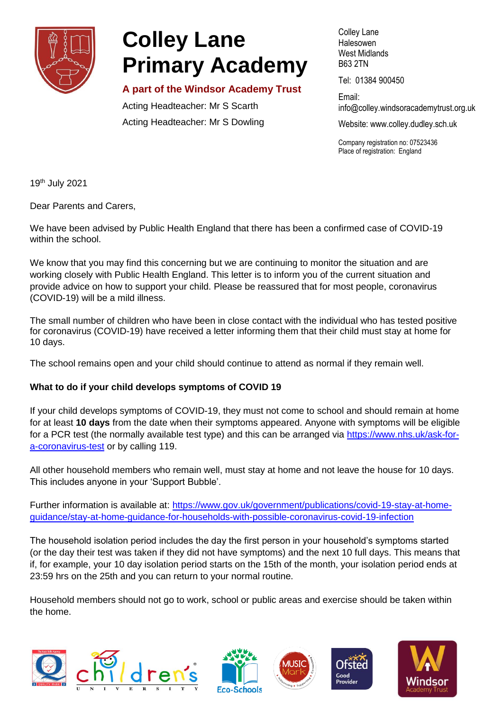

# **Colley Lane Primary Academy**

## **A part of the Windsor Academy Trust**

Acting Headteacher: Mr S Scarth Acting Headteacher: Mr S Dowling Colley Lane **Halesowen** West Midlands B63 2TN

Tel: 01384 900450

Email: info@colley[.windsoracademytrust.org.uk](http://www.windsoracademytrust.org.uk/)

Website: www.colley.dudley.sch.uk

Company registration no: 07523436 Place of registration: England

19th July 2021

Dear Parents and Carers,

We have been advised by Public Health England that there has been a confirmed case of COVID-19 within the school.

We know that you may find this concerning but we are continuing to monitor the situation and are working closely with Public Health England. This letter is to inform you of the current situation and provide advice on how to support your child. Please be reassured that for most people, coronavirus (COVID-19) will be a mild illness.

The small number of children who have been in close contact with the individual who has tested positive for coronavirus (COVID-19) have received a letter informing them that their child must stay at home for 10 days.

The school remains open and your child should continue to attend as normal if they remain well.

## **What to do if your child develops symptoms of COVID 19**

If your child develops symptoms of COVID-19, they must not come to school and should remain at home for at least **10 days** from the date when their symptoms appeared. Anyone with symptoms will be eligible for a PCR test (the normally available test type) and this can be arranged via [https://www.nhs.uk/ask-for](https://www.nhs.uk/ask-for-a-coronavirus-test)[a-coronavirus-test](https://www.nhs.uk/ask-for-a-coronavirus-test) or by calling 119.

All other household members who remain well, must stay at home and not leave the house for 10 days. This includes anyone in your 'Support Bubble'.

Further information is available at: [https://www.gov.uk/government/publications/covid-19-stay-at-home](https://www.gov.uk/government/publications/covid-19-stay-at-home-guidance/stay-at-home-guidance-for-households-with-possible-coronavirus-covid-19-infection)[guidance/stay-at-home-guidance-for-households-with-possible-coronavirus-covid-19-infection](https://www.gov.uk/government/publications/covid-19-stay-at-home-guidance/stay-at-home-guidance-for-households-with-possible-coronavirus-covid-19-infection)

The household isolation period includes the day the first person in your household's symptoms started (or the day their test was taken if they did not have symptoms) and the next 10 full days. This means that if, for example, your 10 day isolation period starts on the 15th of the month, your isolation period ends at 23:59 hrs on the 25th and you can return to your normal routine.

Household members should not go to work, school or public areas and exercise should be taken within the home.